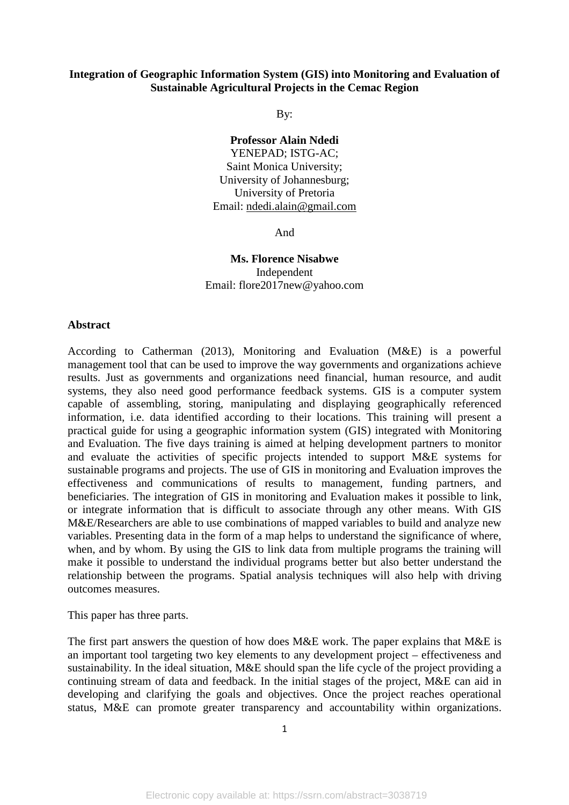## **Integration of Geographic Information System (GIS) into Monitoring and Evaluation of Sustainable Agricultural Projects in the Cemac Region**

By:

**Professor Alain Ndedi**  YENEPAD: ISTG-AC; Saint Monica University; University of Johannesburg; University of Pretoria Email: ndedi.alain@gmail.com

And

### **Ms. Florence Nisabwe**  Independent Email: flore2017new@yahoo.com

### **Abstract**

According to Catherman (2013), Monitoring and Evaluation (M&E) is a powerful management tool that can be used to improve the way governments and organizations achieve results. Just as governments and organizations need financial, human resource, and audit systems, they also need good performance feedback systems. GIS is a computer system capable of assembling, storing, manipulating and displaying geographically referenced information, i.e. data identified according to their locations. This training will present a practical guide for using a geographic information system (GIS) integrated with Monitoring and Evaluation. The five days training is aimed at helping development partners to monitor and evaluate the activities of specific projects intended to support M&E systems for sustainable programs and projects. The use of GIS in monitoring and Evaluation improves the effectiveness and communications of results to management, funding partners, and beneficiaries. The integration of GIS in monitoring and Evaluation makes it possible to link, or integrate information that is difficult to associate through any other means. With GIS M&E/Researchers are able to use combinations of mapped variables to build and analyze new variables. Presenting data in the form of a map helps to understand the significance of where, when, and by whom. By using the GIS to link data from multiple programs the training will make it possible to understand the individual programs better but also better understand the relationship between the programs. Spatial analysis techniques will also help with driving outcomes measures.

This paper has three parts.

The first part answers the question of how does M&E work. The paper explains that M&E is an important tool targeting two key elements to any development project – effectiveness and sustainability. In the ideal situation, M&E should span the life cycle of the project providing a continuing stream of data and feedback. In the initial stages of the project, M&E can aid in developing and clarifying the goals and objectives. Once the project reaches operational status, M&E can promote greater transparency and accountability within organizations.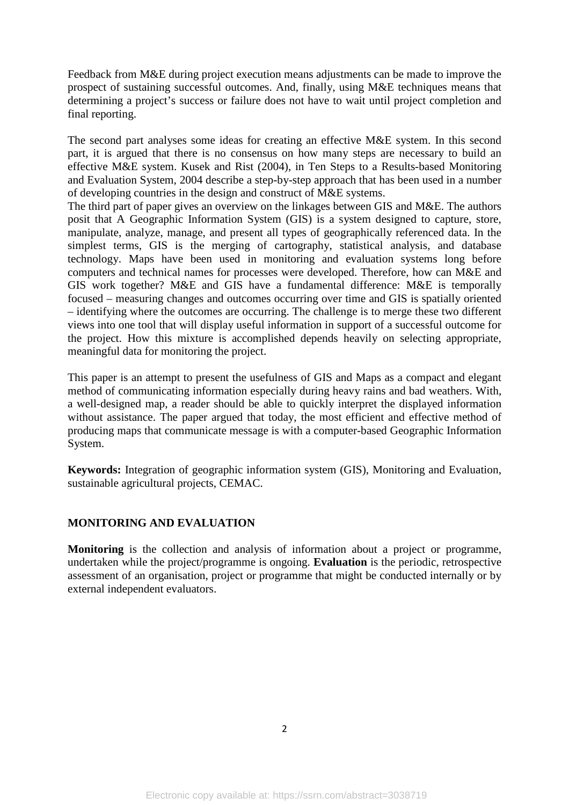Feedback from M&E during project execution means adjustments can be made to improve the prospect of sustaining successful outcomes. And, finally, using M&E techniques means that determining a project's success or failure does not have to wait until project completion and final reporting.

The second part analyses some ideas for creating an effective M&E system. In this second part, it is argued that there is no consensus on how many steps are necessary to build an effective M&E system. Kusek and Rist (2004), in Ten Steps to a Results-based Monitoring and Evaluation System, 2004 describe a step-by-step approach that has been used in a number of developing countries in the design and construct of M&E systems.

The third part of paper gives an overview on the linkages between GIS and M&E. The authors posit that A Geographic Information System (GIS) is a system designed to capture, store, manipulate, analyze, manage, and present all types of geographically referenced data. In the simplest terms, GIS is the merging of cartography, statistical analysis, and database technology. Maps have been used in monitoring and evaluation systems long before computers and technical names for processes were developed. Therefore, how can M&E and GIS work together? M&E and GIS have a fundamental difference: M&E is temporally focused – measuring changes and outcomes occurring over time and GIS is spatially oriented – identifying where the outcomes are occurring. The challenge is to merge these two different views into one tool that will display useful information in support of a successful outcome for the project. How this mixture is accomplished depends heavily on selecting appropriate, meaningful data for monitoring the project.

This paper is an attempt to present the usefulness of GIS and Maps as a compact and elegant method of communicating information especially during heavy rains and bad weathers. With, a well-designed map, a reader should be able to quickly interpret the displayed information without assistance. The paper argued that today, the most efficient and effective method of producing maps that communicate message is with a computer-based Geographic Information System.

**Keywords:** Integration of geographic information system (GIS), Monitoring and Evaluation, sustainable agricultural projects, CEMAC.

# **MONITORING AND EVALUATION**

**Monitoring** is the collection and analysis of information about a project or programme, undertaken while the project/programme is ongoing. **Evaluation** is the periodic, retrospective assessment of an organisation, project or programme that might be conducted internally or by external independent evaluators.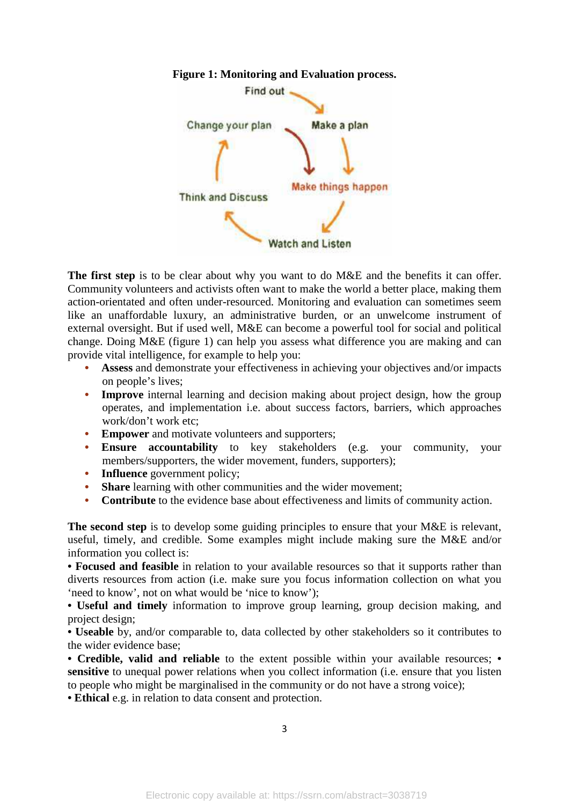#### **Figure 1: Monitoring and Evaluation process.**



**The first step** is to be clear about why you want to do M&E and the benefits it can offer. Community volunteers and activists often want to make the world a better place, making them action-orientated and often under-resourced. Monitoring and evaluation can sometimes seem like an unaffordable luxury, an administrative burden, or an unwelcome instrument of external oversight. But if used well, M&E can become a powerful tool for social and political change. Doing M&E (figure 1) can help you assess what difference you are making and can provide vital intelligence, for example to help you:

- **Assess** and demonstrate your effectiveness in achieving your objectives and/or impacts on people's lives;
- **Improve** internal learning and decision making about project design, how the group operates, and implementation i.e. about success factors, barriers, which approaches work/don't work etc;
- **Empower** and motivate volunteers and supporters;
- **Ensure accountability** to key stakeholders (e.g. your community, your members/supporters, the wider movement, funders, supporters);
- **Influence** government policy;
- **Share** learning with other communities and the wider movement;
- **Contribute** to the evidence base about effectiveness and limits of community action.

**The second step** is to develop some guiding principles to ensure that your M&E is relevant, useful, timely, and credible. Some examples might include making sure the M&E and/or information you collect is:

**• Focused and feasible** in relation to your available resources so that it supports rather than diverts resources from action (i.e. make sure you focus information collection on what you 'need to know', not on what would be 'nice to know');

**• Useful and timely** information to improve group learning, group decision making, and project design;

**• Useable** by, and/or comparable to, data collected by other stakeholders so it contributes to the wider evidence base;

**• Credible, valid and reliable** to the extent possible within your available resources; **•**  sensitive to unequal power relations when you collect information (i.e. ensure that you listen to people who might be marginalised in the community or do not have a strong voice);

**• Ethical** e.g. in relation to data consent and protection.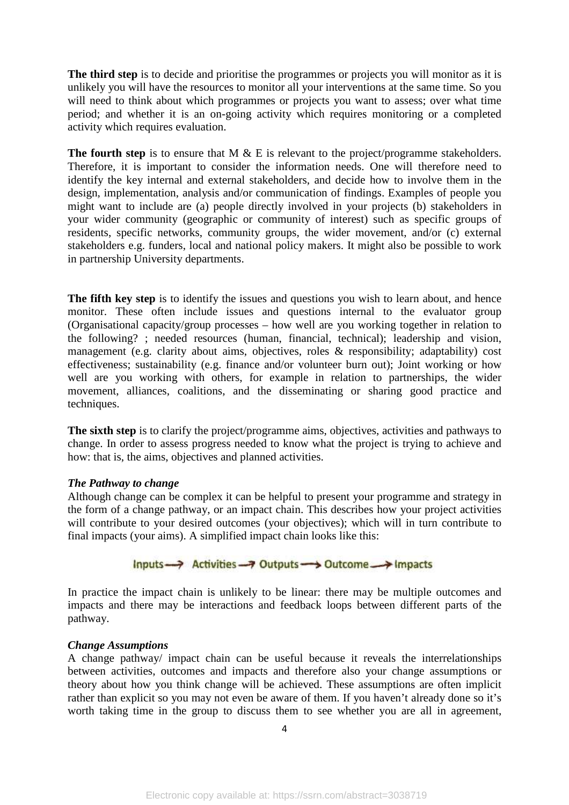**The third step** is to decide and prioritise the programmes or projects you will monitor as it is unlikely you will have the resources to monitor all your interventions at the same time. So you will need to think about which programmes or projects you want to assess; over what time period; and whether it is an on-going activity which requires monitoring or a completed activity which requires evaluation.

The fourth step is to ensure that M & E is relevant to the project/programme stakeholders. Therefore, it is important to consider the information needs. One will therefore need to identify the key internal and external stakeholders, and decide how to involve them in the design, implementation, analysis and/or communication of findings. Examples of people you might want to include are (a) people directly involved in your projects (b) stakeholders in your wider community (geographic or community of interest) such as specific groups of residents, specific networks, community groups, the wider movement, and/or (c) external stakeholders e.g. funders, local and national policy makers. It might also be possible to work in partnership University departments.

**The fifth key step** is to identify the issues and questions you wish to learn about, and hence monitor. These often include issues and questions internal to the evaluator group (Organisational capacity/group processes – how well are you working together in relation to the following? ; needed resources (human, financial, technical); leadership and vision, management (e.g. clarity about aims, objectives, roles & responsibility; adaptability) cost effectiveness; sustainability (e.g. finance and/or volunteer burn out); Joint working or how well are you working with others, for example in relation to partnerships, the wider movement, alliances, coalitions, and the disseminating or sharing good practice and techniques.

**The sixth step** is to clarify the project/programme aims, objectives, activities and pathways to change. In order to assess progress needed to know what the project is trying to achieve and how: that is, the aims, objectives and planned activities.

## *The Pathway to change*

Although change can be complex it can be helpful to present your programme and strategy in the form of a change pathway, or an impact chain. This describes how your project activities will contribute to your desired outcomes (your objectives); which will in turn contribute to final impacts (your aims). A simplified impact chain looks like this:

# Inputs —→ Activities —→ Outputs —→ Outcome —→ Impacts

In practice the impact chain is unlikely to be linear: there may be multiple outcomes and impacts and there may be interactions and feedback loops between different parts of the pathway.

### *Change Assumptions*

A change pathway/ impact chain can be useful because it reveals the interrelationships between activities, outcomes and impacts and therefore also your change assumptions or theory about how you think change will be achieved. These assumptions are often implicit rather than explicit so you may not even be aware of them. If you haven't already done so it's worth taking time in the group to discuss them to see whether you are all in agreement,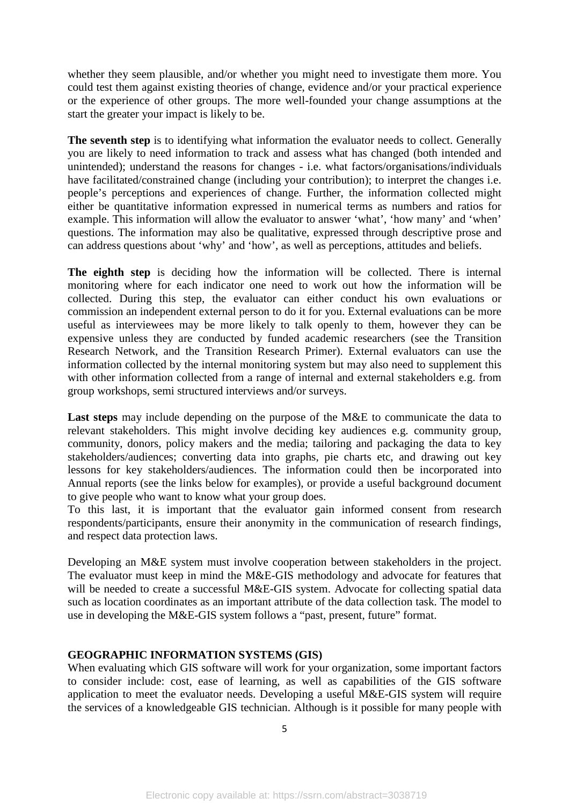whether they seem plausible, and/or whether you might need to investigate them more. You could test them against existing theories of change, evidence and/or your practical experience or the experience of other groups. The more well-founded your change assumptions at the start the greater your impact is likely to be.

**The seventh step** is to identifying what information the evaluator needs to collect. Generally you are likely to need information to track and assess what has changed (both intended and unintended); understand the reasons for changes - i.e. what factors/organisations/individuals have facilitated/constrained change (including your contribution); to interpret the changes i.e. people's perceptions and experiences of change. Further, the information collected might either be quantitative information expressed in numerical terms as numbers and ratios for example. This information will allow the evaluator to answer 'what', 'how many' and 'when' questions. The information may also be qualitative, expressed through descriptive prose and can address questions about 'why' and 'how', as well as perceptions, attitudes and beliefs.

**The eighth step** is deciding how the information will be collected. There is internal monitoring where for each indicator one need to work out how the information will be collected. During this step, the evaluator can either conduct his own evaluations or commission an independent external person to do it for you. External evaluations can be more useful as interviewees may be more likely to talk openly to them, however they can be expensive unless they are conducted by funded academic researchers (see the Transition Research Network, and the Transition Research Primer). External evaluators can use the information collected by the internal monitoring system but may also need to supplement this with other information collected from a range of internal and external stakeholders e.g. from group workshops, semi structured interviews and/or surveys.

Last steps may include depending on the purpose of the M&E to communicate the data to relevant stakeholders. This might involve deciding key audiences e.g. community group, community, donors, policy makers and the media; tailoring and packaging the data to key stakeholders/audiences; converting data into graphs, pie charts etc, and drawing out key lessons for key stakeholders/audiences. The information could then be incorporated into Annual reports (see the links below for examples), or provide a useful background document to give people who want to know what your group does.

To this last, it is important that the evaluator gain informed consent from research respondents/participants, ensure their anonymity in the communication of research findings, and respect data protection laws.

Developing an M&E system must involve cooperation between stakeholders in the project. The evaluator must keep in mind the M&E-GIS methodology and advocate for features that will be needed to create a successful M&E-GIS system. Advocate for collecting spatial data such as location coordinates as an important attribute of the data collection task. The model to use in developing the M&E-GIS system follows a "past, present, future" format.

## **GEOGRAPHIC INFORMATION SYSTEMS (GIS)**

When evaluating which GIS software will work for your organization, some important factors to consider include: cost, ease of learning, as well as capabilities of the GIS software application to meet the evaluator needs. Developing a useful M&E-GIS system will require the services of a knowledgeable GIS technician. Although is it possible for many people with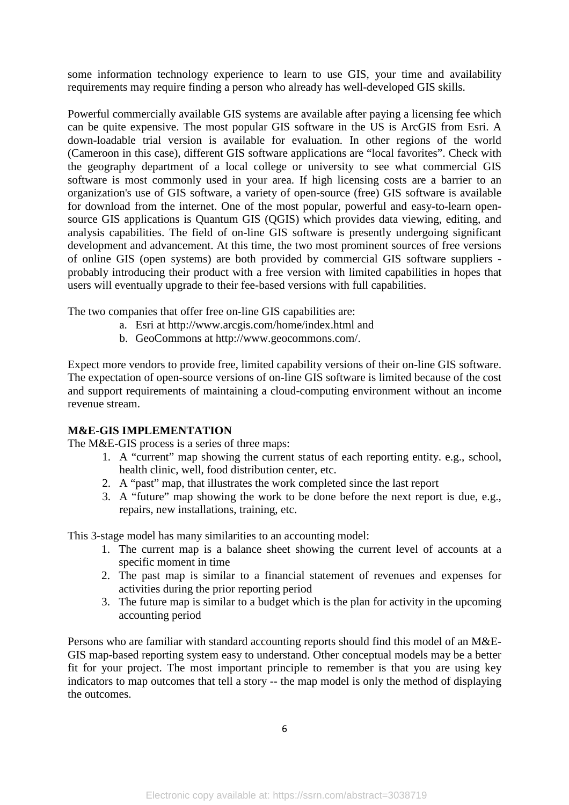some information technology experience to learn to use GIS, your time and availability requirements may require finding a person who already has well-developed GIS skills.

Powerful commercially available GIS systems are available after paying a licensing fee which can be quite expensive. The most popular GIS software in the US is ArcGIS from Esri. A down-loadable trial version is available for evaluation. In other regions of the world (Cameroon in this case), different GIS software applications are "local favorites". Check with the geography department of a local college or university to see what commercial GIS software is most commonly used in your area. If high licensing costs are a barrier to an organization's use of GIS software, a variety of open-source (free) GIS software is available for download from the internet. One of the most popular, powerful and easy-to-learn opensource GIS applications is Quantum GIS (QGIS) which provides data viewing, editing, and analysis capabilities. The field of on-line GIS software is presently undergoing significant development and advancement. At this time, the two most prominent sources of free versions of online GIS (open systems) are both provided by commercial GIS software suppliers probably introducing their product with a free version with limited capabilities in hopes that users will eventually upgrade to their fee-based versions with full capabilities.

The two companies that offer free on-line GIS capabilities are:

- a. Esri at http://www.arcgis.com/home/index.html and
- b. GeoCommons at http://www.geocommons.com/.

Expect more vendors to provide free, limited capability versions of their on-line GIS software. The expectation of open-source versions of on-line GIS software is limited because of the cost and support requirements of maintaining a cloud-computing environment without an income revenue stream.

## **M&E-GIS IMPLEMENTATION**

The M&E-GIS process is a series of three maps:

- 1. A "current" map showing the current status of each reporting entity. e.g., school, health clinic, well, food distribution center, etc.
- 2. A "past" map, that illustrates the work completed since the last report
- 3. A "future" map showing the work to be done before the next report is due, e.g., repairs, new installations, training, etc.

This 3-stage model has many similarities to an accounting model:

- 1. The current map is a balance sheet showing the current level of accounts at a specific moment in time
- 2. The past map is similar to a financial statement of revenues and expenses for activities during the prior reporting period
- 3. The future map is similar to a budget which is the plan for activity in the upcoming accounting period

Persons who are familiar with standard accounting reports should find this model of an M&E-GIS map-based reporting system easy to understand. Other conceptual models may be a better fit for your project. The most important principle to remember is that you are using key indicators to map outcomes that tell a story -- the map model is only the method of displaying the outcomes.